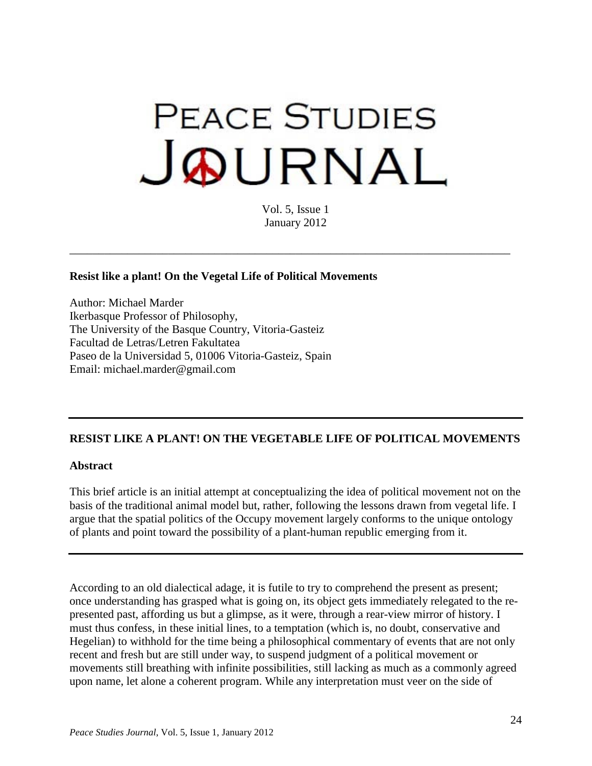# **PEACE STUDIES** JOURNAL

Vol. 5, Issue 1 January 2012

\_\_\_\_\_\_\_\_\_\_\_\_\_\_\_\_\_\_\_\_\_\_\_\_\_\_\_\_\_\_\_\_\_\_\_\_\_\_\_\_\_\_\_\_\_\_\_\_\_\_\_\_\_\_\_\_\_\_\_\_\_\_\_\_\_\_\_\_\_\_\_\_\_\_\_\_

## **Resist like a plant! On the Vegetal Life of Political Movements**

Author: Michael Marder Ikerbasque Professor of Philosophy, The University of the Basque Country, Vitoria-Gasteiz Facultad de Letras/Letren Fakultatea Paseo de la Universidad 5, 01006 Vitoria-Gasteiz, Spain Email: michael.marder@gmail.com

## **RESIST LIKE A PLANT! ON THE VEGETABLE LIFE OF POLITICAL MOVEMENTS**

#### **Abstract**

This brief article is an initial attempt at conceptualizing the idea of political movement not on the basis of the traditional animal model but, rather, following the lessons drawn from vegetal life. I argue that the spatial politics of the Occupy movement largely conforms to the unique ontology of plants and point toward the possibility of a plant-human republic emerging from it.

According to an old dialectical adage, it is futile to try to comprehend the present as present; once understanding has grasped what is going on, its object gets immediately relegated to the represented past, affording us but a glimpse, as it were, through a rear-view mirror of history. I must thus confess, in these initial lines, to a temptation (which is, no doubt, conservative and Hegelian) to withhold for the time being a philosophical commentary of events that are not only recent and fresh but are still under way, to suspend judgment of a political movement or movements still breathing with infinite possibilities, still lacking as much as a commonly agreed upon name, let alone a coherent program. While any interpretation must veer on the side of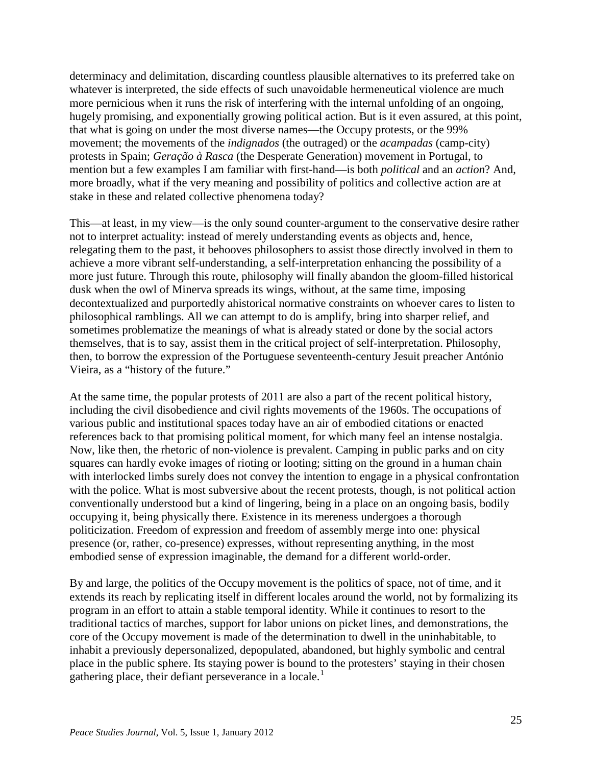determinacy and delimitation, discarding countless plausible alternatives to its preferred take on whatever is interpreted, the side effects of such unavoidable hermeneutical violence are much more pernicious when it runs the risk of interfering with the internal unfolding of an ongoing, hugely promising, and exponentially growing political action. But is it even assured, at this point, that what is going on under the most diverse names—the Occupy protests, or the 99% movement; the movements of the *indignados* (the outraged) or the *acampadas* (camp-city) protests in Spain; *Geração à Rasca* (the Desperate Generation) movement in Portugal, to mention but a few examples I am familiar with first-hand—is both *political* and an *action*? And, more broadly, what if the very meaning and possibility of politics and collective action are at stake in these and related collective phenomena today?

This—at least, in my view—is the only sound counter-argument to the conservative desire rather not to interpret actuality: instead of merely understanding events as objects and, hence, relegating them to the past, it behooves philosophers to assist those directly involved in them to achieve a more vibrant self-understanding, a self-interpretation enhancing the possibility of a more just future. Through this route, philosophy will finally abandon the gloom-filled historical dusk when the owl of Minerva spreads its wings, without, at the same time, imposing decontextualized and purportedly ahistorical normative constraints on whoever cares to listen to philosophical ramblings. All we can attempt to do is amplify, bring into sharper relief, and sometimes problematize the meanings of what is already stated or done by the social actors themselves, that is to say, assist them in the critical project of self-interpretation. Philosophy, then, to borrow the expression of the Portuguese seventeenth-century Jesuit preacher António Vieira, as a "history of the future."

At the same time, the popular protests of 2011 are also a part of the recent political history, including the civil disobedience and civil rights movements of the 1960s. The occupations of various public and institutional spaces today have an air of embodied citations or enacted references back to that promising political moment, for which many feel an intense nostalgia. Now, like then, the rhetoric of non-violence is prevalent. Camping in public parks and on city squares can hardly evoke images of rioting or looting; sitting on the ground in a human chain with interlocked limbs surely does not convey the intention to engage in a physical confrontation with the police. What is most subversive about the recent protests, though, is not political action conventionally understood but a kind of lingering, being in a place on an ongoing basis, bodily occupying it, being physically there. Existence in its mereness undergoes a thorough politicization. Freedom of expression and freedom of assembly merge into one: physical presence (or, rather, co-presence) expresses, without representing anything, in the most embodied sense of expression imaginable, the demand for a different world-order.

By and large, the politics of the Occupy movement is the politics of space, not of time, and it extends its reach by replicating itself in different locales around the world, not by formalizing its program in an effort to attain a stable temporal identity. While it continues to resort to the traditional tactics of marches, support for labor unions on picket lines, and demonstrations, the core of the Occupy movement is made of the determination to dwell in the uninhabitable, to inhabit a previously depersonalized, depopulated, abandoned, but highly symbolic and central place in the public sphere. Its staying power is bound to the protesters' staying in their chosen gathering place, their defiant perseverance in a locale.<sup>[1](#page-7-0)</sup>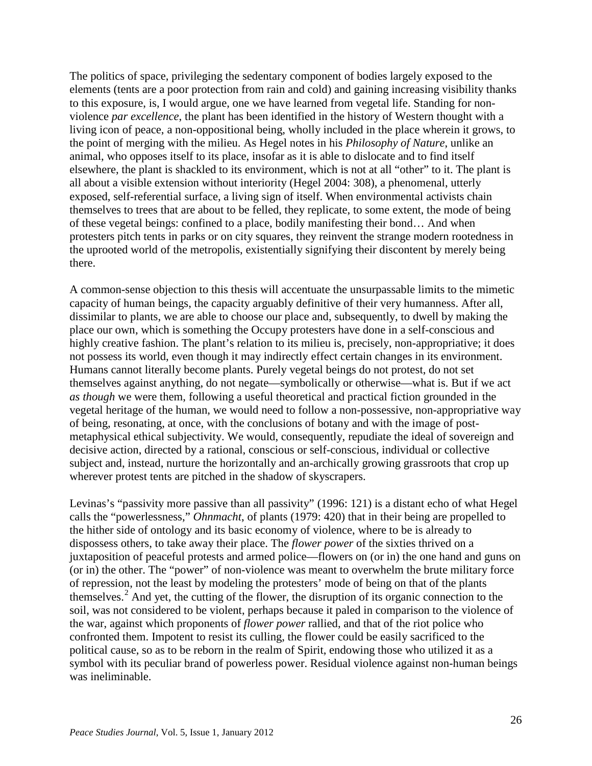The politics of space, privileging the sedentary component of bodies largely exposed to the elements (tents are a poor protection from rain and cold) and gaining increasing visibility thanks to this exposure, is, I would argue, one we have learned from vegetal life. Standing for nonviolence *par excellence*, the plant has been identified in the history of Western thought with a living icon of peace, a non-oppositional being, wholly included in the place wherein it grows, to the point of merging with the milieu. As Hegel notes in his *Philosophy of Nature*, unlike an animal, who opposes itself to its place, insofar as it is able to dislocate and to find itself elsewhere, the plant is shackled to its environment, which is not at all "other" to it. The plant is all about a visible extension without interiority (Hegel 2004: 308), a phenomenal, utterly exposed, self-referential surface, a living sign of itself. When environmental activists chain themselves to trees that are about to be felled, they replicate, to some extent, the mode of being of these vegetal beings: confined to a place, bodily manifesting their bond… And when protesters pitch tents in parks or on city squares, they reinvent the strange modern rootedness in the uprooted world of the metropolis, existentially signifying their discontent by merely being there.

A common-sense objection to this thesis will accentuate the unsurpassable limits to the mimetic capacity of human beings, the capacity arguably definitive of their very humanness. After all, dissimilar to plants, we are able to choose our place and, subsequently, to dwell by making the place our own, which is something the Occupy protesters have done in a self-conscious and highly creative fashion. The plant's relation to its milieu is, precisely, non-appropriative; it does not possess its world, even though it may indirectly effect certain changes in its environment. Humans cannot literally become plants. Purely vegetal beings do not protest, do not set themselves against anything, do not negate—symbolically or otherwise—what is. But if we act *as though* we were them, following a useful theoretical and practical fiction grounded in the vegetal heritage of the human, we would need to follow a non-possessive, non-appropriative way of being, resonating, at once, with the conclusions of botany and with the image of postmetaphysical ethical subjectivity. We would, consequently, repudiate the ideal of sovereign and decisive action, directed by a rational, conscious or self-conscious, individual or collective subject and, instead, nurture the horizontally and an-archically growing grassroots that crop up wherever protest tents are pitched in the shadow of skyscrapers.

Levinas's "passivity more passive than all passivity" (1996: 121) is a distant echo of what Hegel calls the "powerlessness," *Ohnmacht*, of plants (1979: 420) that in their being are propelled to the hither side of ontology and its basic economy of violence, where to be is already to dispossess others, to take away their place. The *flower power* of the sixties thrived on a juxtaposition of peaceful protests and armed police—flowers on (or in) the one hand and guns on (or in) the other. The "power" of non-violence was meant to overwhelm the brute military force of repression, not the least by modeling the protesters' mode of being on that of the plants themselves.<sup>[2](#page-8-0)</sup> And yet, the cutting of the flower, the disruption of its organic connection to the soil, was not considered to be violent, perhaps because it paled in comparison to the violence of the war, against which proponents of *flower power* rallied, and that of the riot police who confronted them. Impotent to resist its culling, the flower could be easily sacrificed to the political cause, so as to be reborn in the realm of Spirit, endowing those who utilized it as a symbol with its peculiar brand of powerless power. Residual violence against non-human beings was ineliminable.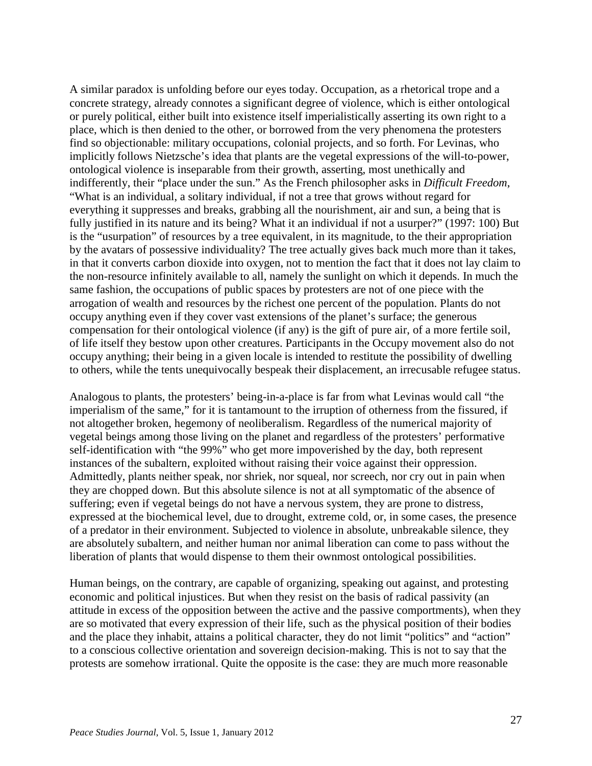A similar paradox is unfolding before our eyes today. Occupation, as a rhetorical trope and a concrete strategy, already connotes a significant degree of violence, which is either ontological or purely political, either built into existence itself imperialistically asserting its own right to a place, which is then denied to the other, or borrowed from the very phenomena the protesters find so objectionable: military occupations, colonial projects, and so forth. For Levinas, who implicitly follows Nietzsche's idea that plants are the vegetal expressions of the will-to-power, ontological violence is inseparable from their growth, asserting, most unethically and indifferently, their "place under the sun." As the French philosopher asks in *Difficult Freedom*, "What is an individual, a solitary individual, if not a tree that grows without regard for everything it suppresses and breaks, grabbing all the nourishment, air and sun, a being that is fully justified in its nature and its being? What it an individual if not a usurper?" (1997: 100) But is the "usurpation" of resources by a tree equivalent, in its magnitude, to the their appropriation by the avatars of possessive individuality? The tree actually gives back much more than it takes, in that it converts carbon dioxide into oxygen, not to mention the fact that it does not lay claim to the non-resource infinitely available to all, namely the sunlight on which it depends. In much the same fashion, the occupations of public spaces by protesters are not of one piece with the arrogation of wealth and resources by the richest one percent of the population. Plants do not occupy anything even if they cover vast extensions of the planet's surface; the generous compensation for their ontological violence (if any) is the gift of pure air, of a more fertile soil, of life itself they bestow upon other creatures. Participants in the Occupy movement also do not occupy anything; their being in a given locale is intended to restitute the possibility of dwelling to others, while the tents unequivocally bespeak their displacement, an irrecusable refugee status.

Analogous to plants, the protesters' being-in-a-place is far from what Levinas would call "the imperialism of the same," for it is tantamount to the irruption of otherness from the fissured, if not altogether broken, hegemony of neoliberalism. Regardless of the numerical majority of vegetal beings among those living on the planet and regardless of the protesters' performative self-identification with "the 99%" who get more impoverished by the day, both represent instances of the subaltern, exploited without raising their voice against their oppression. Admittedly, plants neither speak, nor shriek, nor squeal, nor screech, nor cry out in pain when they are chopped down. But this absolute silence is not at all symptomatic of the absence of suffering; even if vegetal beings do not have a nervous system, they are prone to distress, expressed at the biochemical level, due to drought, extreme cold, or, in some cases, the presence of a predator in their environment. Subjected to violence in absolute, unbreakable silence, they are absolutely subaltern, and neither human nor animal liberation can come to pass without the liberation of plants that would dispense to them their ownmost ontological possibilities.

Human beings, on the contrary, are capable of organizing, speaking out against, and protesting economic and political injustices. But when they resist on the basis of radical passivity (an attitude in excess of the opposition between the active and the passive comportments), when they are so motivated that every expression of their life, such as the physical position of their bodies and the place they inhabit, attains a political character, they do not limit "politics" and "action" to a conscious collective orientation and sovereign decision-making. This is not to say that the protests are somehow irrational. Quite the opposite is the case: they are much more reasonable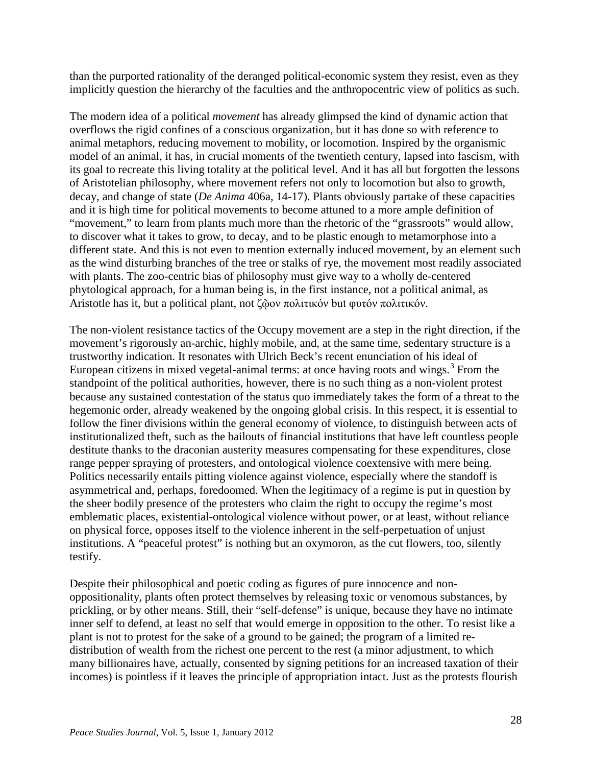than the purported rationality of the deranged political-economic system they resist, even as they implicitly question the hierarchy of the faculties and the anthropocentric view of politics as such.

The modern idea of a political *movement* has already glimpsed the kind of dynamic action that overflows the rigid confines of a conscious organization, but it has done so with reference to animal metaphors, reducing movement to mobility, or locomotion. Inspired by the organismic model of an animal, it has, in crucial moments of the twentieth century, lapsed into fascism, with its goal to recreate this living totality at the political level. And it has all but forgotten the lessons of Aristotelian philosophy, where movement refers not only to locomotion but also to growth, decay, and change of state (*De Anima* 406a, 14-17). Plants obviously partake of these capacities and it is high time for political movements to become attuned to a more ample definition of "movement," to learn from plants much more than the rhetoric of the "grassroots" would allow, to discover what it takes to grow, to decay, and to be plastic enough to metamorphose into a different state. And this is not even to mention externally induced movement, by an element such as the wind disturbing branches of the tree or stalks of rye, the movement most readily associated with plants. The zoo-centric bias of philosophy must give way to a wholly de-centered phytological approach, for a human being is, in the first instance, not a political animal, as Aristotle has it, but a political plant, not ζῷον πολιτικόν but φυτόν πολιτικόν.

The non-violent resistance tactics of the Occupy movement are a step in the right direction, if the movement's rigorously an-archic, highly mobile, and, at the same time, sedentary structure is a trustworthy indication. It resonates with Ulrich Beck's recent enunciation of his ideal of European citizens in mixed vegetal-animal terms: at once having roots and wings.<sup>[3](#page-8-1)</sup> From the standpoint of the political authorities, however, there is no such thing as a non-violent protest because any sustained contestation of the status quo immediately takes the form of a threat to the hegemonic order, already weakened by the ongoing global crisis. In this respect, it is essential to follow the finer divisions within the general economy of violence, to distinguish between acts of institutionalized theft, such as the bailouts of financial institutions that have left countless people destitute thanks to the draconian austerity measures compensating for these expenditures, close range pepper spraying of protesters, and ontological violence coextensive with mere being. Politics necessarily entails pitting violence against violence, especially where the standoff is asymmetrical and, perhaps, foredoomed. When the legitimacy of a regime is put in question by the sheer bodily presence of the protesters who claim the right to occupy the regime's most emblematic places, existential-ontological violence without power, or at least, without reliance on physical force, opposes itself to the violence inherent in the self-perpetuation of unjust institutions. A "peaceful protest" is nothing but an oxymoron, as the cut flowers, too, silently testify.

Despite their philosophical and poetic coding as figures of pure innocence and nonoppositionality, plants often protect themselves by releasing toxic or venomous substances, by prickling, or by other means. Still, their "self-defense" is unique, because they have no intimate inner self to defend, at least no self that would emerge in opposition to the other. To resist like a plant is not to protest for the sake of a ground to be gained; the program of a limited redistribution of wealth from the richest one percent to the rest (a minor adjustment, to which many billionaires have, actually, consented by signing petitions for an increased taxation of their incomes) is pointless if it leaves the principle of appropriation intact. Just as the protests flourish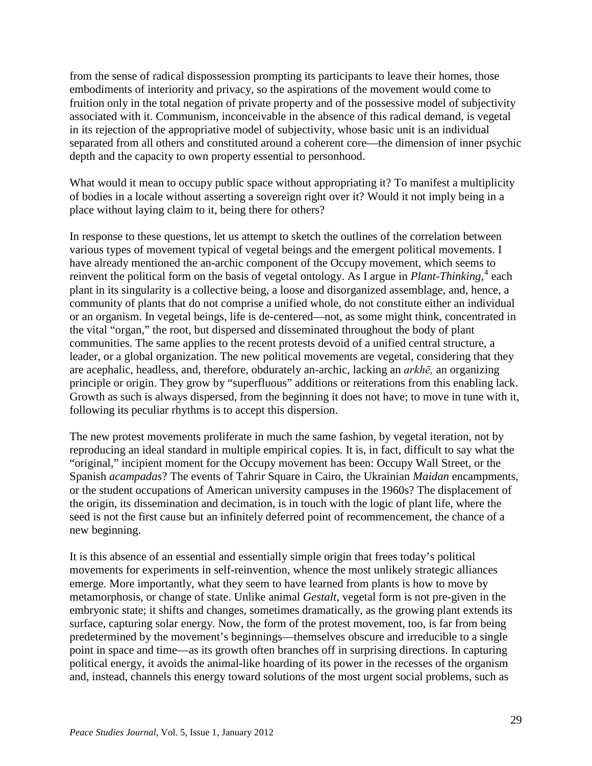from the sense of radical dispossession prompting its participants to leave their homes, those embodiments of interiority and privacy, so the aspirations of the movement would come to fruition only in the total negation of private property and of the possessive model of subjectivity associated with it. Communism, inconceivable in the absence of this radical demand, is vegetal in its rejection of the appropriative model of subjectivity, whose basic unit is an individual separated from all others and constituted around a coherent core—the dimension of inner psychic depth and the capacity to own property essential to personhood.

What would it mean to occupy public space without appropriating it? To manifest a multiplicity of bodies in a locale without asserting a sovereign right over it? Would it not imply being in a place without laying claim to it, being there for others?

In response to these questions, let us attempt to sketch the outlines of the correlation between various types of movement typical of vegetal beings and the emergent political movements. I have already mentioned the an-archic component of the Occupy movement, which seems to reinvent the political form on the basis of vegetal ontology. As I argue in *Plant-Thinking*,<sup>[4](#page-8-2)</sup> each plant in its singularity is a collective being, a loose and disorganized assemblage, and, hence, a community of plants that do not comprise a unified whole, do not constitute either an individual or an organism. In vegetal beings, life is de-centered—not, as some might think, concentrated in the vital "organ," the root, but dispersed and disseminated throughout the body of plant communities. The same applies to the recent protests devoid of a unified central structure, a leader, or a global organization. The new political movements are vegetal, considering that they are acephalic, headless, and, therefore, obdurately an-archic, lacking an *arkhē,* an organizing principle or origin. They grow by "superfluous" additions or reiterations from this enabling lack. Growth as such is always dispersed, from the beginning it does not have; to move in tune with it, following its peculiar rhythms is to accept this dispersion.

The new protest movements proliferate in much the same fashion, by vegetal iteration, not by reproducing an ideal standard in multiple empirical copies. It is, in fact, difficult to say what the "original," incipient moment for the Occupy movement has been: Occupy Wall Street, or the Spanish *acampadas*? The events of Tahrir Square in Cairo, the Ukrainian *Maidan* encampments, or the student occupations of American university campuses in the 1960s? The displacement of the origin, its dissemination and decimation, is in touch with the logic of plant life, where the seed is not the first cause but an infinitely deferred point of recommencement, the chance of a new beginning.

It is this absence of an essential and essentially simple origin that frees today's political movements for experiments in self-reinvention, whence the most unlikely strategic alliances emerge. More importantly, what they seem to have learned from plants is how to move by metamorphosis, or change of state. Unlike animal *Gestalt*, vegetal form is not pre-given in the embryonic state; it shifts and changes, sometimes dramatically, as the growing plant extends its surface, capturing solar energy. Now, the form of the protest movement, too, is far from being predetermined by the movement's beginnings—themselves obscure and irreducible to a single point in space and time—as its growth often branches off in surprising directions. In capturing political energy, it avoids the animal-like hoarding of its power in the recesses of the organism and, instead, channels this energy toward solutions of the most urgent social problems, such as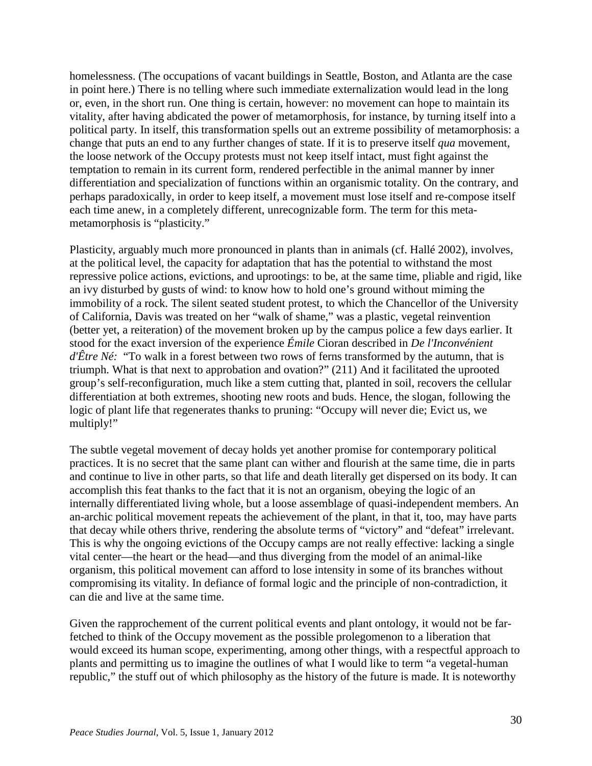homelessness. (The occupations of vacant buildings in Seattle, Boston, and Atlanta are the case in point here.) There is no telling where such immediate externalization would lead in the long or, even, in the short run. One thing is certain, however: no movement can hope to maintain its vitality, after having abdicated the power of metamorphosis, for instance, by turning itself into a political party. In itself, this transformation spells out an extreme possibility of metamorphosis: a change that puts an end to any further changes of state. If it is to preserve itself *qua* movement, the loose network of the Occupy protests must not keep itself intact, must fight against the temptation to remain in its current form, rendered perfectible in the animal manner by inner differentiation and specialization of functions within an organismic totality. On the contrary, and perhaps paradoxically, in order to keep itself, a movement must lose itself and re-compose itself each time anew, in a completely different, unrecognizable form. The term for this metametamorphosis is "plasticity."

Plasticity, arguably much more pronounced in plants than in animals (cf. Hallé 2002), involves, at the political level, the capacity for adaptation that has the potential to withstand the most repressive police actions, evictions, and uprootings: to be, at the same time, pliable and rigid, like an ivy disturbed by gusts of wind: to know how to hold one's ground without miming the immobility of a rock. The silent seated student protest, to which the Chancellor of the University of California, Davis was treated on her "walk of shame," was a plastic, vegetal reinvention (better yet, a reiteration) of the movement broken up by the campus police a few days earlier. It stood for the exact inversion of the experience *Émile* Cioran described in *De l'Inconvénient d'Être Né:* "To walk in a forest between two rows of ferns transformed by the autumn, that is triumph. What is that next to approbation and ovation?" (211) And it facilitated the uprooted group's self-reconfiguration, much like a stem cutting that, planted in soil, recovers the cellular differentiation at both extremes, shooting new roots and buds. Hence, the slogan, following the logic of plant life that regenerates thanks to pruning: "Occupy will never die; Evict us, we multiply!"

The subtle vegetal movement of decay holds yet another promise for contemporary political practices. It is no secret that the same plant can wither and flourish at the same time, die in parts and continue to live in other parts, so that life and death literally get dispersed on its body. It can accomplish this feat thanks to the fact that it is not an organism, obeying the logic of an internally differentiated living whole, but a loose assemblage of quasi-independent members. An an-archic political movement repeats the achievement of the plant, in that it, too, may have parts that decay while others thrive, rendering the absolute terms of "victory" and "defeat" irrelevant. This is why the ongoing evictions of the Occupy camps are not really effective: lacking a single vital center—the heart or the head—and thus diverging from the model of an animal-like organism, this political movement can afford to lose intensity in some of its branches without compromising its vitality. In defiance of formal logic and the principle of non-contradiction, it can die and live at the same time.

Given the rapprochement of the current political events and plant ontology, it would not be farfetched to think of the Occupy movement as the possible prolegomenon to a liberation that would exceed its human scope, experimenting, among other things, with a respectful approach to plants and permitting us to imagine the outlines of what I would like to term "a vegetal-human republic," the stuff out of which philosophy as the history of the future is made. It is noteworthy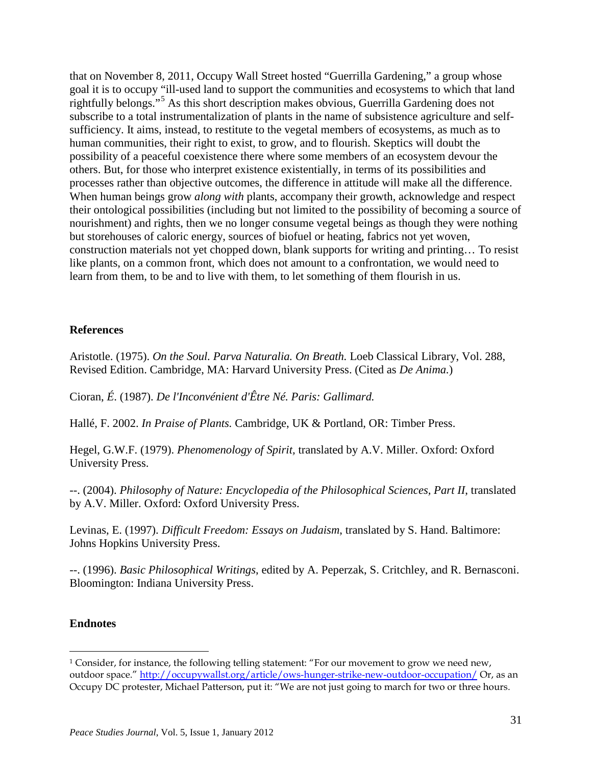that on November 8, 2011, Occupy Wall Street hosted "Guerrilla Gardening," a group whose goal it is to occupy "ill-used land to support the communities and ecosystems to which that land rightfully belongs."[5](#page-8-3) As this short description makes obvious, Guerrilla Gardening does not subscribe to a total instrumentalization of plants in the name of subsistence agriculture and selfsufficiency. It aims, instead, to restitute to the vegetal members of ecosystems, as much as to human communities, their right to exist, to grow, and to flourish. Skeptics will doubt the possibility of a peaceful coexistence there where some members of an ecosystem devour the others. But, for those who interpret existence existentially, in terms of its possibilities and processes rather than objective outcomes, the difference in attitude will make all the difference. When human beings grow *along with* plants, accompany their growth, acknowledge and respect their ontological possibilities (including but not limited to the possibility of becoming a source of nourishment) and rights, then we no longer consume vegetal beings as though they were nothing but storehouses of caloric energy, sources of biofuel or heating, fabrics not yet woven, construction materials not yet chopped down, blank supports for writing and printing… To resist like plants, on a common front, which does not amount to a confrontation, we would need to learn from them, to be and to live with them, to let something of them flourish in us.

## **References**

Aristotle. (1975). *On the Soul. Parva Naturalia. On Breath.* Loeb Classical Library, Vol. 288, Revised Edition. Cambridge, MA: Harvard University Press. (Cited as *De Anima.*)

Cioran, *É*. (1987). *De l'Inconvénient d'Être Né. Paris: Gallimard.*

Hallé, F. 2002. *In Praise of Plants.* Cambridge, UK & Portland, OR: Timber Press.

Hegel, G.W.F. (1979). *Phenomenology of Spirit,* translated by A.V. Miller. Oxford: Oxford University Press.

--. (2004). *Philosophy of Nature: Encyclopedia of the Philosophical Sciences, Part II*, translated by A.V. Miller. Oxford: Oxford University Press.

Levinas, E. (1997). *Difficult Freedom: Essays on Judaism*, translated by S. Hand. Baltimore: Johns Hopkins University Press.

--. (1996). *Basic Philosophical Writings*, edited by A. Peperzak, S. Critchley, and R. Bernasconi. Bloomington: Indiana University Press.

## **Endnotes**

<span id="page-7-0"></span> $\overline{a}$ <sup>1</sup> Consider, for instance, the following telling statement: "For our movement to grow we need new, outdoor space.[" http://occupywallst.org/article/ows-hunger-strike-new-outdoor-occupation/](http://occupywallst.org/article/ows-hunger-strike-new-outdoor-occupation/) Or, as an Occupy DC protester, Michael Patterson, put it: "We are not just going to march for two or three hours.